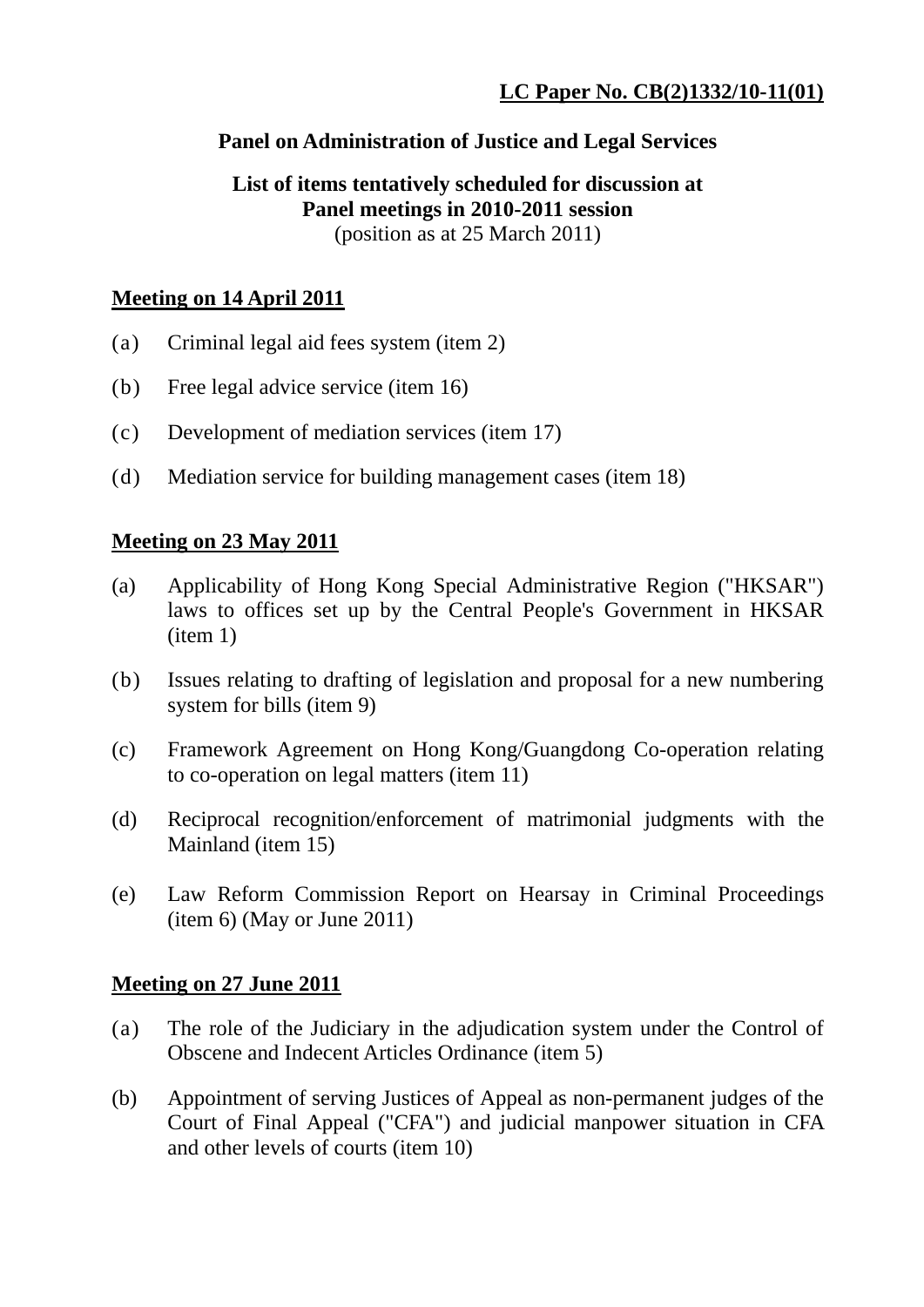## **Panel on Administration of Justice and Legal Services**

#### **List of items tentatively scheduled for discussion at Panel meetings in 2010-2011 session**  (position as at 25 March 2011)

# **Meeting on 14 April 2011**

- (a) Criminal legal aid fees system (item 2)
- (b) Free legal advice service (item 16)
- (c) Development of mediation services (item 17)
- (d) Mediation service for building management cases (item 18)

## **Meeting on 23 May 2011**

- (a) Applicability of Hong Kong Special Administrative Region ("HKSAR") laws to offices set up by the Central People's Government in HKSAR (item 1)
- (b) Issues relating to drafting of legislation and proposal for a new numbering system for bills (item 9)
- (c) Framework Agreement on Hong Kong/Guangdong Co-operation relating to co-operation on legal matters (item 11)
- (d) Reciprocal recognition/enforcement of matrimonial judgments with the Mainland (item 15)
- (e) Law Reform Commission Report on Hearsay in Criminal Proceedings (item 6) (May or June 2011)

## **Meeting on 27 June 2011**

- (a) The role of the Judiciary in the adjudication system under the Control of Obscene and Indecent Articles Ordinance (item 5)
- (b) Appointment of serving Justices of Appeal as non-permanent judges of the Court of Final Appeal ("CFA") and judicial manpower situation in CFA and other levels of courts (item 10)